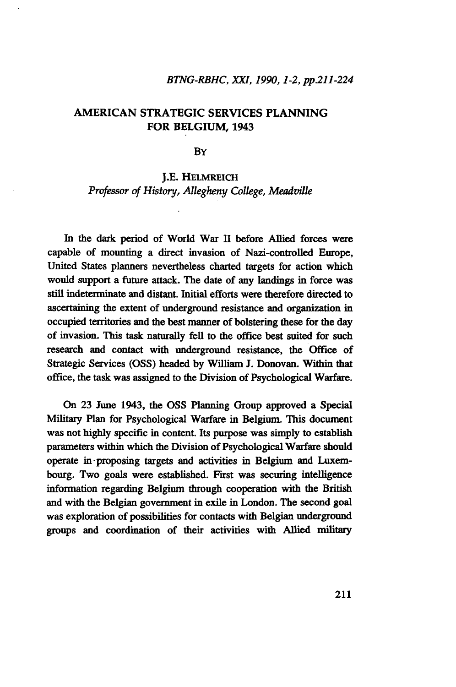#### *BTNG-RBHC, XXI, 1990,1-2, pp.211-224*

# AMERICAN STRATEGIC SERVICES PLANNING FOR BELGIUM, 1943

**B**Y

#### J.E. HELMREICH

*Professor of History, Allegheny College, Meadville*

In the dark period of World War II before Allied forces were capable of mounting a direct invasion of Nazi-controlled Europe, United States planners nevertheless charted targets for action which would support a future attack. The date of any landings in force was still indeterminate and distant. Initial efforts were therefore directed to ascertaining the extent of underground resistance and organization in occupied territories and the best manner of bolstering these for the day of invasion. This task naturally fell to the office best suited for such research and contact with underground resistance, the Office of Strategic Services (OSS) headed by William J. Donovan. Within that office, the task was assigned to the Division of Psychological Warfare.

On 23 June 1943, the OSS Planning Group approved a Special Military Plan for Psychological Warfare in Belgium. This document was not highly specific in content. Its purpose was simply to establish parameters within which the Division of Psychological Warfare should operate in proposing targets and activities in Belgium and Luxembourg. Two goals were established. First was securing intelligence information regarding Belgium through cooperation with the British and with the Belgian government in exile in London. The second goal was exploration of possibilities for contacts with Belgian underground groups and coordination of their activities with Allied military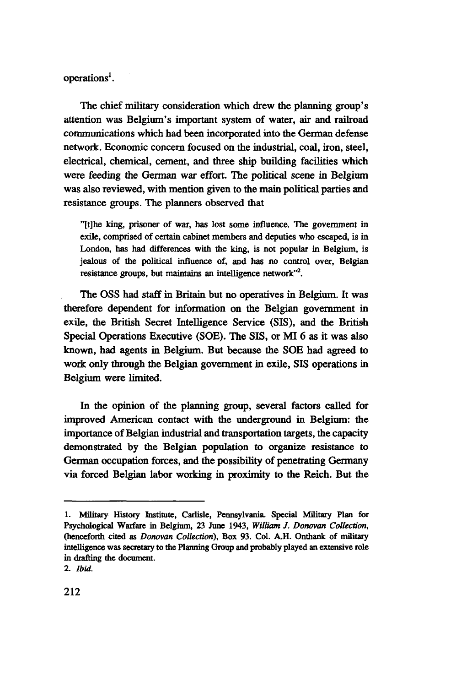operations<sup>1</sup>.

The chief military consideration which drew the planning group's attention was Belgium's important system of water, air and railroad communications which had been incorporated into the German defense network. Economic concern focused on the industrial, coal, iron, steel, electrical, chemical, cement, and three ship building facilities which were feeding the German war effort. The political scene in Belgium was also reviewed, with mention given to the main political parties and resistance groups. The planners observed that

"[t]he king, prisoner of war, has lost some influence. The government in exile, comprised of certain cabinet members and deputies who escaped, is in London, has had differences with the king, is not popular in Belgium, is jealous of the political influence of, and has no control over, Belgian resistance groups, but maintains an intelligence network"<sup>2</sup>.

The OSS had staff in Britain but no operatives in Belgium. It was therefore dependent for information on the Belgian government in exile, the British Secret Intelligence Service (SIS), and the British Special Operations Executive (SOE). The SIS, or MI 6 as it was also known, had agents in Belgium. But because the SOE had agreed to work only through the Belgian government in exile, SIS operations in Belgium were limited.

In the opinion of the planning group, several factors called for improved American contact with the underground in Belgium: the importance of Belgian industrial and transportation targets, the capacity demonstrated by the Belgian population to organize resistance to German occupation forces, and the possibility of penetrating Germany via forced Belgian labor working in proximity to the Reich. But the

<sup>1.</sup> Military History Institute, Carlisle, Pennsylvania. Special Military Plan for Psychological Warfare in Belgium, 23 June 1943, *William J. Donovan Collection,* (henceforth cited as *Donovan Collection),* Box 93. Col. A.H. Onthank of military intelligence was secretary to the Planning Group and probably played an extensive role in drafting the document.

<sup>2.</sup> *Ibid.*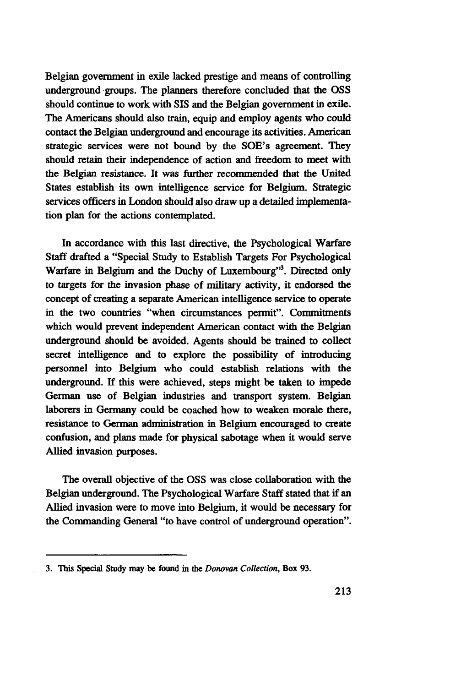Belgian government in exile lacked prestige and means of controlling underground groups. The planners therefore concluded that the OSS should continue to work with SIS and the Belgian government in exile. The Americans should also train, equip and employ agents who could contact the Belgian underground and encourage its activities. American strategic services were not bound by the SOE's agreement. They should retain their independence of action and freedom to meet with the Belgian resistance. It was further recommended that the United States establish its own intelligence service for Belgium. Strategic services officers in London should also draw up a detailed implementation plan for the actions contemplated.

In accordance with this last directive, the Psychological Warfare Staff drafted a "Special Study to Establish Targets For Psychological Warfare in Belgium and the Duchy of Luxembourg"<sup>3</sup>. Directed only to targets for the invasion phase of military activity, it endorsed the concept of creating a separate American intelligence service to operate in the two countries "when circumstances permit". Commitments which would prevent independent American contact with the Belgian underground should be avoided. Agents should be trained to collect secret intelligence and to explore the possibility of introducing personnel into Belgium who could establish relations with the underground. If this were achieved, steps might be taken to impede German use of Belgian industries and transport system. Belgian laborers in Germany could be coached how to weaken morale there, resistance to German administration in Belgium encouraged to create confusion, and plans made for physical sabotage when it would serve Allied invasion purposes.

The overall objective of the OSS was close collaboration with the Belgian underground. The Psychological Warfare Staff stated that if an Allied invasion were to move into Belgium, it would be necessary for the Commanding General "to have control of underground operation".

<sup>3.</sup> This Special **Study** may be found in **the** *Donovan Collection,* Box 93.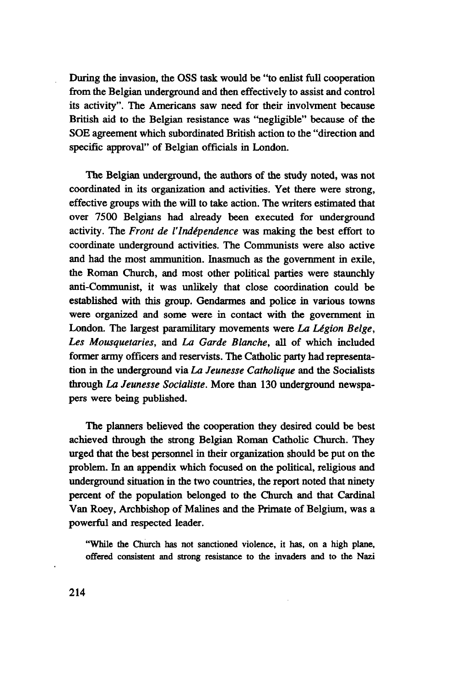During the invasion, the OSS task would be "to enlist full cooperation from the Belgian underground and then effectively to assist and control its activity". The Americans saw need for their involvment because British aid to the Belgian resistance was "negligible" because of the SOE agreement which subordinated British action to the "direction and specific approval" of Belgian officials in London.

The Belgian underground, the authors of the study noted, was not coordinated in its organization and activities. Yet there were strong, effective groups with the will to take action. The writers estimated that over 7500 Belgians had already been executed for underground activity. The *Front de I'Independence* was making the best effort to coordinate underground activities. The Communists were also active and had the most ammunition. Inasmuch as the government in exile, the Roman Church, and most other political parties were staunchly anti-Communist, it was unlikely that close coordination could be established with this group. Gendarmes and police in various towns were organized and some were in contact with the government in London. The largest paramilitary movements were *La Légion Belge, Les Mousquetaries,* and *La Garde Blanche,* all of which included former army officers and reservists. The Catholic party had representation in the underground via *La Jeunesse Catholique* and the Socialists through *La Jeunesse Socialiste.* More than 130 underground newspapers were being published.

The planners believed the cooperation they desired could be best achieved through the strong Belgian Roman Catholic Church. They urged that the best personnel in their organization should be put on the problem. In an appendix which focused on the political, religious and underground situation in the two countries, the report noted that ninety percent of the population belonged to the Church and that Cardinal Van Roey, Archbishop of Malines and the Primate of Belgium, was a powerful and respected leader.

"While the Church has not sanctioned violence, it has, on a high plane, offered consistent and strong resistance to the invaders and to the Nazi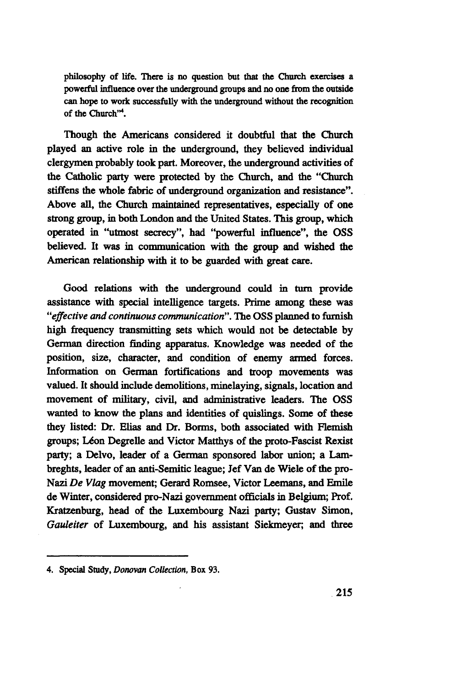philosophy of life. There is no question but that the Church exercises a powerful influence over the underground groups and no one from the outside can hope to work successfully with the underground without the recognition of the Church"<sup>4</sup>.

Though the Americans considered it doubtful that the Church played an active role in the underground, they believed individual clergymen probably took part. Moreover, the underground activities of the Catholic party were protected by the Church, and the "Church stiffens the whole fabric of underground organization and resistance". Above all, the Church maintained representatives, especially of one strong group, in both London and the United States. This group, which operated in "utmost secrecy", had "powerful influence", the OSS believed. It was in communication with the group and wished the American relationship with it to be guarded with great care.

Good relations with the underground could in turn provide assistance with special intelligence targets. Prime among these was *"effective and continuous communication".* The OSS planned to furnish high frequency transmitting sets which would not be detectable by German direction finding apparatus. Knowledge was needed of the position, size, character, and condition of enemy armed forces. Information on German fortifications and troop movements was valued. It should include demolitions, minelaying, signals, location and movement of military, civil, and administrative leaders. The OSS wanted to know the plans and identities of quislings. Some of these they listed: Dr. Elias and Dr. Borms, both associated with Flemish groups; Léon Degrelle and Victor Matthys of the proto-Fascist Rexist party; a Delvo, leader of a German sponsored labor union; a Lambreghts, leader of an anti-Semitic league; Jef Van de Wiele of the pro-Nazi *De Vlag* movement; Gerard Romsee, Victor Leemans, and Emile de Winter, considered pro-Nazi government officials in Belgium; Prof. Kratzenburg, head of the Luxembourg Nazi party; Gustav Simon, *Gauleiter* of Luxembourg, and his assistant Siekmeyer; and three

<sup>4.</sup> Special Study, *Donovan Collection,* Box 93.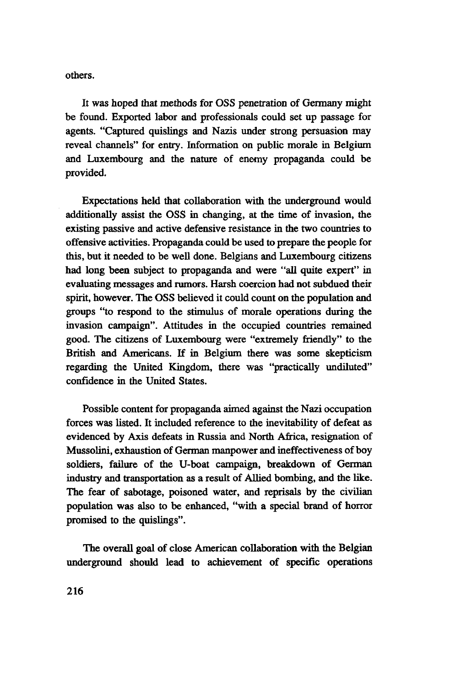others.

It was hoped that methods for OSS penetration of Germany might be found. Exported labor and professionals could set up passage for agents. "Captured quislings and Nazis under strong persuasion may reveal channels" for entry. Information on public morale in Belgium and Luxembourg and the nature of enemy propaganda could be provided.

Expectations held that collaboration with the underground would additionally assist the OSS in changing, at the time of invasion, the existing passive and active defensive resistance in the two countries to offensive activities. Propaganda could be used to prepare the people for this, but it needed to be well done. Belgians and Luxembourg citizens had long been subject to propaganda and were "all quite expert" in evaluating messages and rumors. Harsh coercion had not subdued their spirit, however. The OSS believed it could count on the population and groups "to respond to the stimulus of morale operations during the invasion campaign". Attitudes in the occupied countries remained good. The citizens of Luxembourg were "extremely friendly" to the British and Americans. If in Belgium there was some skepticism regarding the United Kingdom, there was "practically undiluted" confidence in the United States.

Possible content for propaganda aimed against the Nazi occupation forces was listed. It included reference to the inevitability of defeat as evidenced by Axis defeats in Russia and North Africa, resignation of Mussolini, exhaustion of German manpower and ineffectiveness of boy soldiers, failure of the U-boat campaign, breakdown of German industry and transportation as a result of Allied bombing, and the like. The fear of sabotage, poisoned water, and reprisals by the civilian population was also to be enhanced, "with a special brand of horror promised to the quislings".

The overall goal of close American collaboration with the Belgian underground should lead to achievement of specific operations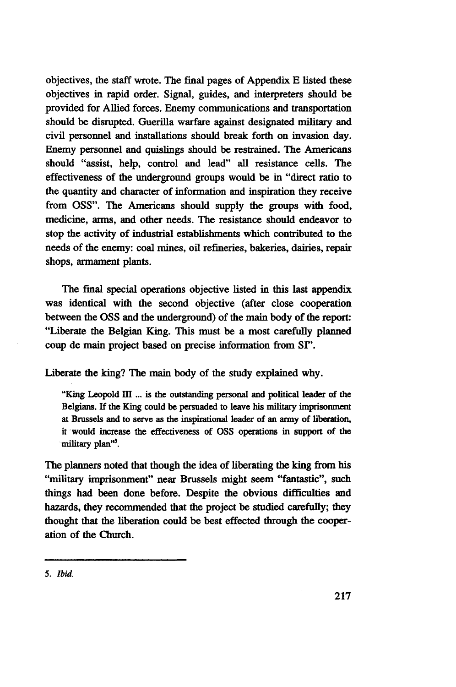objectives, the staff wrote. The final pages of Appendix E listed these objectives in rapid order. Signal, guides, and interpreters should be provided for Allied forces. Enemy communications and transportation should be disrupted. Guerilla warfare against designated military and civil personnel and installations should break forth on invasion day. Enemy personnel and quislings should be restrained. The Americans should "assist, help, control and lead" all resistance cells. The effectiveness of the underground groups would be in "direct ratio to the quantity and character of information and inspiration they receive from OSS". The Americans should supply the groups with food, medicine, arms, and other needs. The resistance should endeavor to stop the activity of industrial establishments which contributed to the needs of the enemy: coal mines, oil refineries, bakeries, dairies, repair shops, armament plants.

The final special operations objective listed in this last appendix, was identical with the second objective (after close cooperation between the OSS and the underground) of the main body of the report: "Liberate the Belgian King. This must be a most carefully planned coup de main project based on precise information from SI".

Liberate the king? The main body of the study explained why.

"King Leopold III ... is the outstanding personal and political leader of the Belgians. If the King could be persuaded to leave his military imprisonment at Brussels and to serve as the inspirational leader of an army of liberation, it would increase the effectiveness of OSS operations in support of the military plan''<sup>5</sup>.

The planners noted that though the idea of liberating the king from his "military imprisonment" near Brussels might seem "fantastic", such things had been done before. Despite the obvious difficulties and hazards, they recommended that the project be studied carefully; they thought that the liberation could be best effected through the cooperation of the Church.

**<sup>5.</sup>** *Ibid.*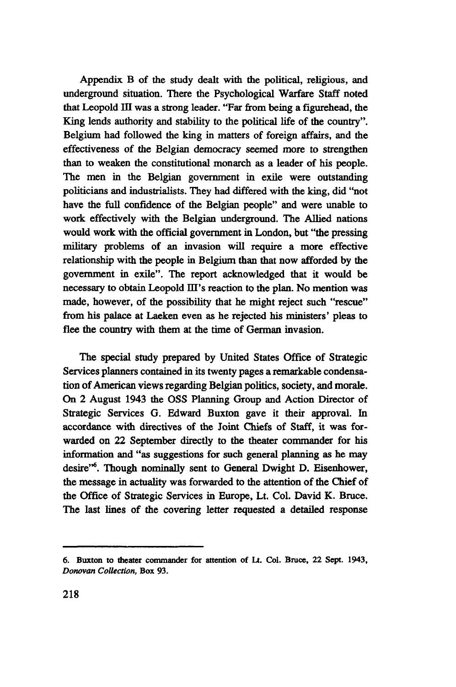Appendix B of the study dealt with the political, religious, and underground situation. There the Psychological Warfare Staff noted that Leopold III was a strong leader. "Far from being a figurehead, the King lends authority and stability to the political life of the country". Belgium had followed the king in matters of foreign affairs, and the effectiveness of the Belgian democracy seemed more to strengthen than to weaken the constitutional monarch as a leader of his people. The men in the Belgian government in exile were outstanding politicians and industrialists. They had differed with the king, did "not have the full confidence of the Belgian people" and were unable to work effectively with the Belgian underground. The Allied nations would work with the official government in London, but "the pressing military problems of an invasion will require a more effective relationship with the people in Belgium than that now afforded by the government in exile". The report acknowledged that it would be necessary to obtain Leopold HI's reaction to the plan. No mention was made, however, of the possibility that he might reject such "rescue" from his palace at Laeken even as he rejected his ministers' pleas to flee the country with them at the time of German invasion.

The special study prepared by United States Office of Strategic Services planners contained in its twenty pages a remarkable condensation of American views regarding Belgian politics, society, and morale. On 2 August 1943 the OSS Planning Group and Action Director of Strategic Services G. Edward Buxton gave it their approval. In accordance with directives of the Joint Chiefs of Staff, it was forwarded on 22 September directly to the theater commander for his information and "as suggestions for such general planning as he may desire"<sup>6</sup> . Though nominally sent to General Dwight D. Eisenhower, the message in actuality was forwarded to the attention of the Chief of the Office of Strategic Services in Europe, Lt. Col. David K. Bruce. The last lines of the covering letter requested a detailed response

<sup>6.</sup> Buxton to theater commander for attention of **Lt.** Col. Bruce, **22** Sept. **1943,** *Donovan Collection,* Box 93.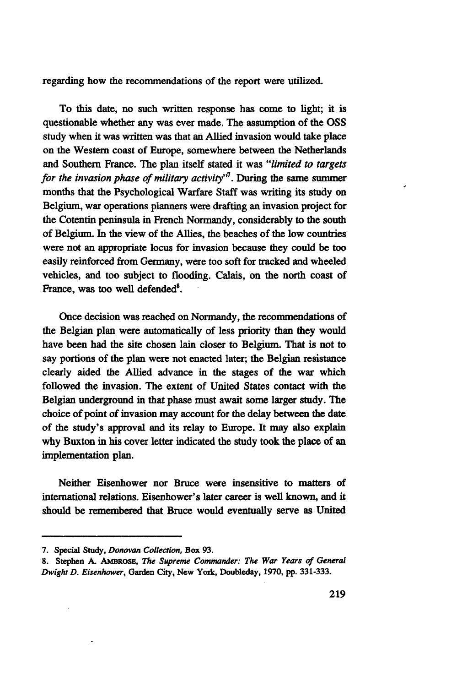regarding how the recommendations of the report were utilized.

To this date, no such written response has come to light; it is questionable whether any was ever made. The assumption of the OSS study when it was written was that an Allied invasion would take place on the Western coast of Europe, somewhere between the Netherlands and Southern France. The plan itself stated it was *"limited to targets for the invasion phase of military activity"<sup>1</sup> .* During the same summer months that the Psychological Warfare Staff was writing its study on Belgium, war operations planners were drafting an invasion project for the Cotentin peninsula in French Normandy, considerably to the south of Belgium. In the view of the Allies, the beaches of the low countries were not an appropriate locus for invasion because they could be too easily reinforced from Germany, were too soft for tracked and wheeled vehicles, and too subject to flooding. Calais, on the north coast of France, was too well defended<sup>8</sup>.

Once decision was reached on Normandy, the recommendations of the Belgian plan were automatically of less priority than they would have been had the site chosen lain closer to Belgium. That is not to say portions of the plan were not enacted later; the Belgian resistance clearly aided the Allied advance in the stages of the war which followed the invasion. The extent of United States contact with the Belgian underground in that phase must await some larger study. The choice of point of invasion may account for the delay between the date of the study's approval and its relay to Europe. It may also explain why Buxton in his cover letter indicated the study took the place of an implementation plan.

Neither Eisenhower nor Bruce were insensitive to matters of international relations. Eisenhower's later career is well known, and it should be remembered that Bruce would eventually serve as United

<sup>7.</sup> Special **Study,** *Donovan Collection,* Box 93.

<sup>8.</sup> Stephen A. AMBROSE, *The Supreme Commander: The War Years of General DwightD. Eisenhower,* Garden City, **New** York, Doubleday, 1970, pp. 331-333.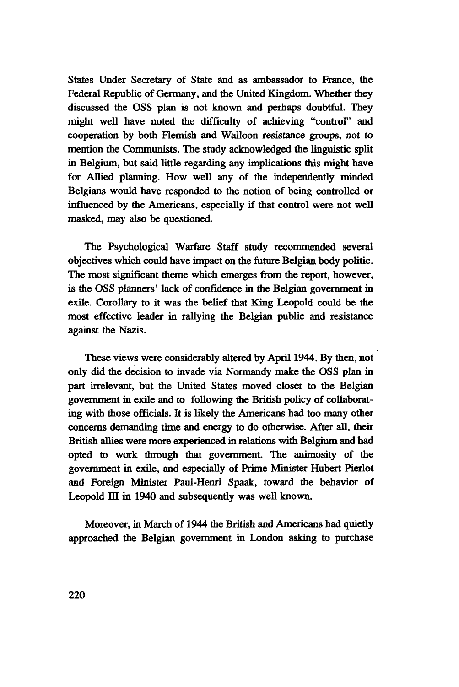States Under Secretary of State and as ambassador to France, the Federal Republic of Germany, and the United Kingdom. Whether they discussed the OSS plan is not known and perhaps doubtful. They might well have noted the difficulty of achieving "control" and cooperation by both Flemish and Walloon resistance groups, not to mention the Communists. The study acknowledged the linguistic split in Belgium, but said little regarding any implications this might have for Allied planning. How well any of the independently minded Belgians would have responded to the notion of being controlled or influenced by the Americans, especially if that control were not well masked, may also be questioned.

The Psychological Warfare Staff study recommended several objectives which could have impact on the future Belgian body politic. The most significant theme which emerges from the report, however, is the OSS planners' lack of confidence in the Belgian government in exile. Corollary to it was the belief that King Leopold could be the most effective leader in rallying the Belgian public and resistance against the Nazis.

These views were considerably altered by April 1944. By then, not only did the decision to invade via Normandy make the OSS plan in part irrelevant, but the United States moved closer to the Belgian government in exile and to following the British policy of collaborating with those officials. It is likely the Americans had too many other concerns demanding time and energy to do otherwise. After all, their British allies were more experienced in relations with Belgium and had opted to work through that government. The animosity of the government in exile, and especially of Prime Minister Hubert Pierlot and Foreign Minister Paul-Henri Spaak, toward the behavior of Leopold III in 1940 and subsequently was well known.

Moreover, in March of 1944 the British and Americans had quietly approached the Belgian government in London asking to purchase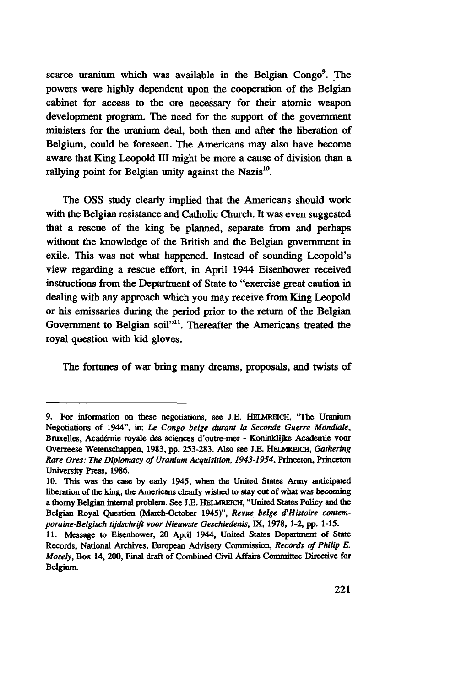scarce uranium which was available in the Belgian Congo<sup>9</sup>. The powers were highly dependent upon the cooperation of the Belgian cabinet for access to the ore necessary for their atomic weapon development program. The need for the support **of** the government ministers for the uranium deal, both then and after the liberation of Belgium, could be foreseen. The Americans may also have become aware that King Leopold HI might be more a cause of division than a rallying point for Belgian unity against the Nazis<sup>10</sup>.

The OSS study clearly implied that the Americans should work with the Belgian resistance and Catholic Church. It was even suggested that a rescue of the king be planned, separate from and perhaps without the knowledge of the British and the Belgian government **in** exile. This was not what happened. Instead of sounding Leopold's view regarding a rescue effort, in April 1944 Eisenhower received instructions from the Department of State to "exercise great caution in dealing with any approach which you may receive from King Leopold or his emissaries during the period prior to the return of the Belgian Government to Belgian soil"<sup>11</sup>. Thereafter the Americans treated the royal question with kid gloves.

The fortunes **of** war bring many dreams, proposals, and twists of

<sup>9.</sup> For information on these negotiations, see J.E. HELMREICH, "The Uranium Negotiations of 1944", in: Le *Congo belge durant la Seconde Guerre Mondiale,* Bruxelles, Académie royale des sciences d'outre-mer - Koninklijke Academie voor Overzeese Wetenschappen, 1983, pp. 253-283. Also see J.E. HELMREICH, Gathering *Rare Ores: The Diplomacy of Uranium Acquisition, 1943-1954,* Princeton, Princeton University Press, 1986.

<sup>10.</sup> This was the case by early 1945, when the United States Army anticipated liberation of the king; the Americans clearly wished to stay out of what was becoming a thorny Belgian internal problem. See J.E. HELMREICH, "United States Policy and the Belgian Royal Question (March-October 1945)", *Revue belge d'Histoire contemporaine-Belgisch tijdschrift voor Nieuwste Geschiedenis,* IX, 1978, 1-2, pp. 1-15.

<sup>11.</sup> Message to Eisenhower, 20 April 1944, United States Department of State Records, National Archives, European Advisory Commission, *Records of Philip E. Mosely,* Box 14, 200, Final draft of Combined Civil Affairs Committee Directive for Belgium.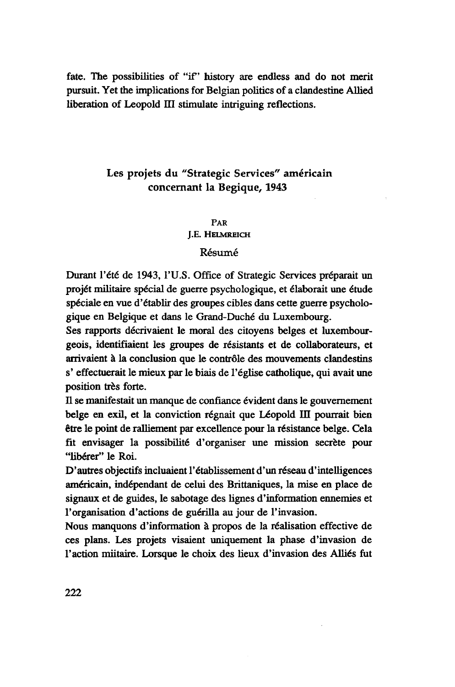fate. The possibilities of "if' history are endless and do not merit pursuit. Yet the implications for Belgian politics of a clandestine Allied liberation of Leopold III stimulate intriguing reflections.

# Les projets du "Strategic Services" américain concernant la Begique, 1943

### PAR J.E. HELMREICH

## Résumé

Durant l'été de 1943, l'U.S. Office of Strategic Services préparait un projet militaire spécial de guerre psychologique, et élaborait une étude spéciale en vue d'établir des groupes cibles dans cette guerre psychologique en Belgique et dans le Grand-Duché du Luxembourg.

Ses rapports décrivaient le moral des citoyens belges et luxembourgeois, identifiaient les groupes de résistants et de collaborateurs, et arrivaient à la conclusion que le contrôle des mouvements clandestins s' effectuerait le mieux par le biais de l'église catholique, qui avait une position très forte.

Il se manifestait un manque de confiance évident dans le gouvernement belge en exil, et la conviction régnait que Léopold III pourrait bien être le point de ralliement par excellence pour la résistance belge. Cela fit envisager la possibilité d'organiser une mission secrète pour ' 'libérer" le Roi.

D'autres objectifs incluaient l'établissement d'un réseau d'intelligences américain, indépendant de celui des Brittaniques, la mise en place de signaux et de guides, le sabotage des lignes d'information ennemies et l'organisation d'actions de guérilla au jour de l'invasion.

Nous manquons d'information à propos de la réalisation effective de ces plans. Les projets visaient uniquement la phase d'invasion de l'action miitaire. Lorsque le choix des lieux d'invasion des Alliés fut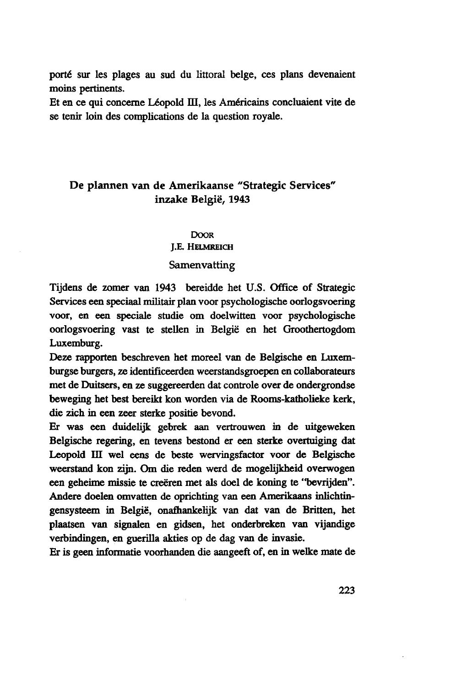porté sur les plages au sud du littoral belge, ces plans devenaient moins pertinents.

Et en ce qui concerne Leopold DI, les Américains concluaient vite de se tenir loin des complications de la question royale.

# De plannen van de Amerikaanse "Strategie Services' inzake België, 1943

#### **DOOR**

J.E. HELMREICH

### **Samenvatting**

Tijdens de zomer van 1943 bereidde het U.S. Office of Strategie Services een speciaal militair plan voor psychologische oorlogsvoering voor, en een speciale studie om doelwitten voor psychologische oorlogsvoering vast te stellen in België en het Groothertogdom Luxemburg.

Deze rapporten beschreven het moreel van de Belgische en Luxemburgse burgers, ze identificeerden weerstandsgroepen en collaborateurs met de Duitsers, en ze suggereerden dat controle over de ondergrondse beweging het best bereikt kon worden via de Rooms-katholieke kerk, die zich in een zeer sterke positie bevond.

Er was een duidelijk gebrek aan vertrouwen in de uitgeweken Belgische regering, en tevens bestond er een sterke overtuiging dat Leopold HI wel eens de beste wervingsfactor voor de Belgische weerstand kon zijn. Om die reden werd de mogelijkheid overwogen een geheime missie te creëren met als doel de koning te "bevrijden". Andere doelen omvatten de oprichting van een Amerikaans inlichtingensysteem in België, onafhankelijk van dat van de Britten, het plaatsen van signalen en gidsen, het onderbreken van vijandige verbindingen, en guerilla akties op de dag van de invasie.

Er is geen informatie voorhanden die aangeeft of, en in welke mate de